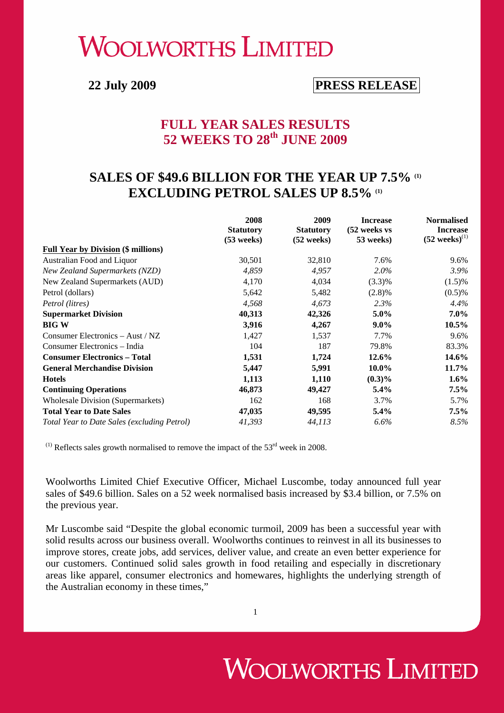# **WOOLWORTHS LIMITED**

# **22 July 2009 PRESS RELEASE**

### **FULL YEAR SALES RESULTS 52 WEEKS TO 28th JUNE 2009**

## SALES OF \$49.6 BILLION FOR THE YEAR UP 7.5% (1) **EXCLUDING PETROL SALES UP 8.5% (1)**

|                                             | 2008<br><b>Statutory</b><br>$(53$ weeks) | 2009<br><b>Statutory</b><br>$(52 \text{ weeks})$ | <b>Increase</b><br>(52 weeks vs<br>53 weeks) | <b>Normalised</b><br><b>Increase</b><br>$(52 \text{ weeks})^{(1)}$ |
|---------------------------------------------|------------------------------------------|--------------------------------------------------|----------------------------------------------|--------------------------------------------------------------------|
| <b>Full Year by Division (\$ millions)</b>  |                                          |                                                  |                                              |                                                                    |
| Australian Food and Liquor                  | 30,501                                   | 32,810                                           | 7.6%                                         | 9.6%                                                               |
| <b>New Zealand Supermarkets (NZD)</b>       | 4,859                                    | 4,957                                            | $2.0\%$                                      | 3.9%                                                               |
| New Zealand Supermarkets (AUD)              | 4,170                                    | 4,034                                            | $(3.3)\%$                                    | $(1.5)\%$                                                          |
| Petrol (dollars)                            | 5,642                                    | 5,482                                            | $(2.8)\%$                                    | $(0.5)$ %                                                          |
| Petrol (litres)                             | 4,568                                    | 4,673                                            | 2.3%                                         | 4.4%                                                               |
| <b>Supermarket Division</b>                 | 40,313                                   | 42,326                                           | $5.0\%$                                      | $7.0\%$                                                            |
| <b>BIG W</b>                                | 3,916                                    | 4,267                                            | $9.0\%$                                      | 10.5%                                                              |
| Consumer Electronics – Aust / NZ            | 1,427                                    | 1,537                                            | 7.7%                                         | 9.6%                                                               |
| Consumer Electronics – India                | 104                                      | 187                                              | 79.8%                                        | 83.3%                                                              |
| <b>Consumer Electronics - Total</b>         | 1,531                                    | 1,724                                            | 12.6%                                        | 14.6%                                                              |
| <b>General Merchandise Division</b>         | 5,447                                    | 5,991                                            | 10.0%                                        | 11.7%                                                              |
| <b>Hotels</b>                               | 1,113                                    | 1,110                                            | $(0.3)\%$                                    | $1.6\%$                                                            |
| <b>Continuing Operations</b>                | 46,873                                   | 49,427                                           | $5.4\%$                                      | $7.5\%$                                                            |
| <b>Wholesale Division (Supermarkets)</b>    | 162                                      | 168                                              | 3.7%                                         | 5.7%                                                               |
| <b>Total Year to Date Sales</b>             | 47,035                                   | 49,595                                           | $5.4\%$                                      | $7.5\%$                                                            |
| Total Year to Date Sales (excluding Petrol) | 41,393                                   | 44,113                                           | $6.6\%$                                      | 8.5%                                                               |

 $^{(1)}$  Reflects sales growth normalised to remove the impact of the 53<sup>rd</sup> week in 2008.

Woolworths Limited Chief Executive Officer, Michael Luscombe, today announced full year sales of \$49.6 billion. Sales on a 52 week normalised basis increased by \$3.4 billion, or 7.5% on the previous year.

Mr Luscombe said "Despite the global economic turmoil, 2009 has been a successful year with solid results across our business overall. Woolworths continues to reinvest in all its businesses to improve stores, create jobs, add services, deliver value, and create an even better experience for our customers. Continued solid sales growth in food retailing and especially in discretionary areas like apparel, consumer electronics and homewares, highlights the underlying strength of the Australian economy in these times,"

1

# **WOOLWORTHS LIMITED**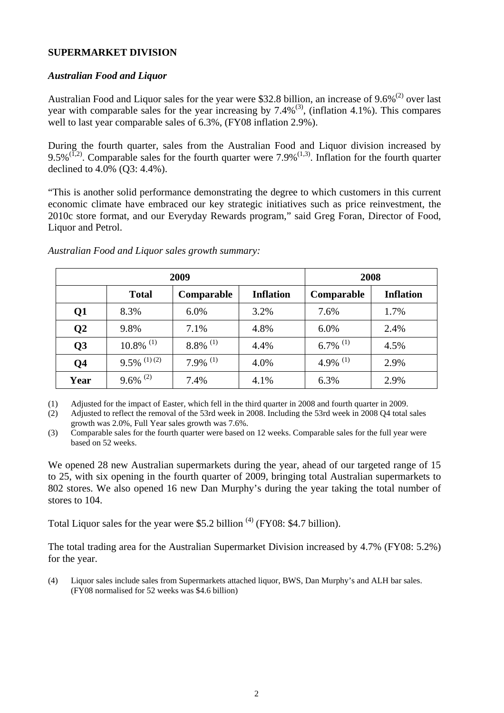#### **SUPERMARKET DIVISION**

#### *Australian Food and Liquor*

Australian Food and Liquor sales for the year were \$32.8 billion, an increase of  $9.6\%^{(2)}$  over last year with comparable sales for the year increasing by  $7.4\%$ <sup>(3)</sup>, (inflation 4.1%). This compares well to last year comparable sales of 6.3%, (FY08 inflation 2.9%).

During the fourth quarter, sales from the Australian Food and Liquor division increased by 9.5%<sup>(1,2)</sup>. Comparable sales for the fourth quarter were 7.9%<sup>(1,3)</sup>. Inflation for the fourth quarter declined to 4.0% (Q3: 4.4%).

"This is another solid performance demonstrating the degree to which customers in this current economic climate have embraced our key strategic initiatives such as price reinvestment, the 2010c store format, and our Everyday Rewards program," said Greg Foran, Director of Food, Liquor and Petrol.

| 2009                      |                         |                        | 2008             |                        |                  |
|---------------------------|-------------------------|------------------------|------------------|------------------------|------------------|
|                           | <b>Total</b>            | Comparable             | <b>Inflation</b> | Comparable             | <b>Inflation</b> |
| $\overline{\mathbf{Q}}$ 1 | 8.3%                    | 6.0%                   | 3.2%             | 7.6%                   | 1.7%             |
| $\overline{\bf Q}$        | 9.8%                    | 7.1%                   | 4.8%             | 6.0%                   | 2.4%             |
| Q <sub>3</sub>            | $10.8\%$ <sup>(1)</sup> | $8.8\%$ <sup>(1)</sup> | 4.4%             | $6.7\%$ <sup>(1)</sup> | 4.5%             |
| Q <sub>4</sub>            | $9.5\%$ (1)(2)          | $7.9\%$ <sup>(1)</sup> | 4.0%             | 4.9% $^{(1)}$          | 2.9%             |
| Year                      | $9.6\%$ <sup>(2)</sup>  | 7.4%                   | 4.1%             | 6.3%                   | 2.9%             |

*Australian Food and Liquor sales growth summary:* 

(1) Adjusted for the impact of Easter, which fell in the third quarter in 2008 and fourth quarter in 2009.

(2) Adjusted to reflect the removal of the 53rd week in 2008. Including the 53rd week in 2008 Q4 total sales growth was 2.0%, Full Year sales growth was 7.6%.

(3) Comparable sales for the fourth quarter were based on 12 weeks. Comparable sales for the full year were based on 52 weeks.

We opened 28 new Australian supermarkets during the year, ahead of our targeted range of 15 to 25, with six opening in the fourth quarter of 2009, bringing total Australian supermarkets to 802 stores. We also opened 16 new Dan Murphy's during the year taking the total number of stores to 104.

Total Liquor sales for the year were \$5.2 billion  $^{(4)}$  (FY08: \$4.7 billion).

The total trading area for the Australian Supermarket Division increased by 4.7% (FY08: 5.2%) for the year.

(4) Liquor sales include sales from Supermarkets attached liquor, BWS, Dan Murphy's and ALH bar sales. (FY08 normalised for 52 weeks was \$4.6 billion)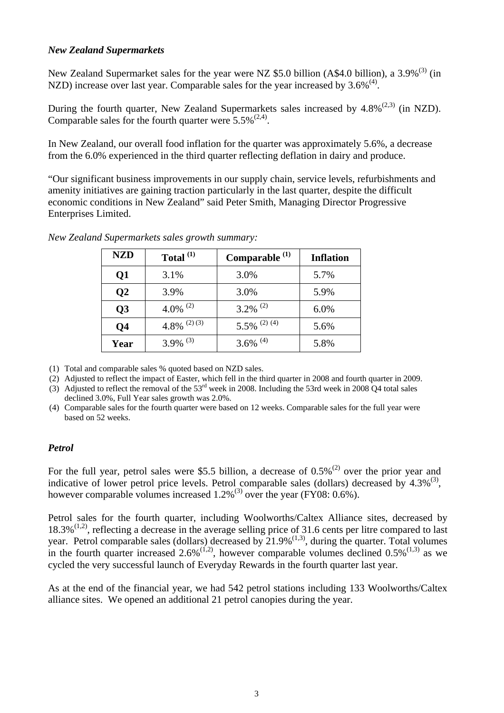#### *New Zealand Supermarkets*

New Zealand Supermarket sales for the year were NZ \$5.0 billion (A\$4.0 billion), a 3.9%<sup>(3)</sup> (in NZD) increase over last year. Comparable sales for the year increased by  $3.6\%^{(4)}$ .

During the fourth quarter, New Zealand Supermarkets sales increased by  $4.8\%^{(2,3)}$  (in NZD). Comparable sales for the fourth quarter were  $5.5\%^{(2,4)}$ .

In New Zealand, our overall food inflation for the quarter was approximately 5.6%, a decrease from the 6.0% experienced in the third quarter reflecting deflation in dairy and produce.

"Our significant business improvements in our supply chain, service levels, refurbishments and amenity initiatives are gaining traction particularly in the last quarter, despite the difficult economic conditions in New Zealand" said Peter Smith, Managing Director Progressive Enterprises Limited.

| <b>NZD</b>      | Total $^{(1)}$         | Comparable $(1)$       | <b>Inflation</b> |
|-----------------|------------------------|------------------------|------------------|
| Q1              | 3.1%                   | 3.0%                   | 5.7%             |
| $\overline{Q}2$ | 3.9%                   | 3.0%                   | 5.9%             |
| Q <sub>3</sub>  | 4.0% <sup>(2)</sup>    | $3.2\%$ <sup>(2)</sup> | 6.0%             |
| Q4              | 4.8% $(2)(3)$          | 5.5% $^{(2) (4)}$      | 5.6%             |
| Year            | $3.9\%$ <sup>(3)</sup> | 3.6% $^{(4)}$          | 5.8%             |

*New Zealand Supermarkets sales growth summary:*

(1) Total and comparable sales % quoted based on NZD sales.

- (2) Adjusted to reflect the impact of Easter, which fell in the third quarter in 2008 and fourth quarter in 2009.
- (3) Adjusted to reflect the removal of the  $53<sup>rd</sup>$  week in 2008. Including the 53rd week in 2008 Q4 total sales declined 3.0%, Full Year sales growth was 2.0%.
- (4) Comparable sales for the fourth quarter were based on 12 weeks. Comparable sales for the full year were based on 52 weeks.

#### *Petrol*

For the full year, petrol sales were \$5.5 billion, a decrease of  $0.5\%$ <sup>(2)</sup> over the prior year and indicative of lower petrol price levels. Petrol comparable sales (dollars) decreased by  $4.3\%^{(3)}$ , however comparable volumes increased  $1.2\%$ <sup>(3)</sup> over the year (FY08: 0.6%).

Petrol sales for the fourth quarter, including Woolworths/Caltex Alliance sites, decreased by  $18.3\%$ <sup>(1,2)</sup>, reflecting a decrease in the average selling price of 31.6 cents per litre compared to last year. Petrol comparable sales (dollars) decreased by  $21.9\%$ <sup>(1,3)</sup>, during the quarter. Total volumes in the fourth quarter increased  $2.6\%^{(1,2)}$ , however comparable volumes declined  $0.5\%^{(1,3)}$  as we cycled the very successful launch of Everyday Rewards in the fourth quarter last year.

As at the end of the financial year, we had 542 petrol stations including 133 Woolworths/Caltex alliance sites. We opened an additional 21 petrol canopies during the year.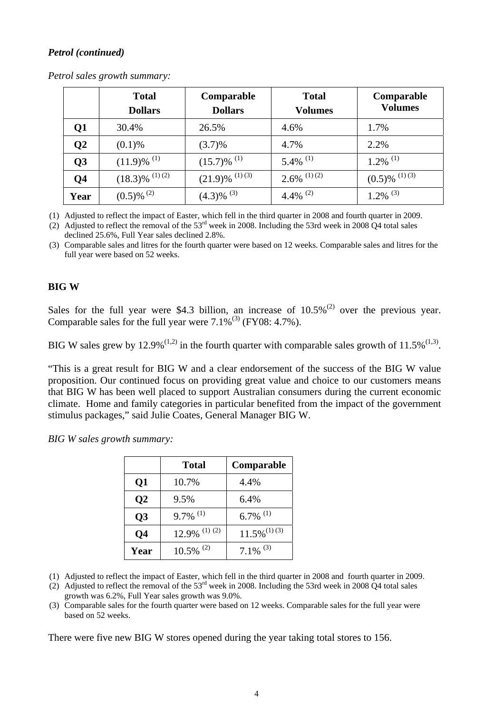### *Petrol (continued)*

|      | <b>Total</b><br><b>Dollars</b> | Comparable<br><b>Dollars</b> | <b>Total</b><br><b>Volumes</b> | Comparable<br><b>Volumes</b> |
|------|--------------------------------|------------------------------|--------------------------------|------------------------------|
| Q1   | 30.4%                          | 26.5%                        | 4.6%                           | 1.7%                         |
| Q2   | $(0.1)$ %                      | (3.7)%                       | 4.7%                           | 2.2%                         |
| Q3   | $(11.9)$ % <sup>(1)</sup>      | $(15.7)\%$ <sup>(1)</sup>    | $5.4\%$ <sup>(1)</sup>         | $1.2\%$ <sup>(1)</sup>       |
| Q4   | $(18.3)\%$ <sup>(1) (2)</sup>  | $(21.9)$ % $^{(1)(3)}$       | $2.6\%$ <sup>(1)(2)</sup>      | $(0.5)\%$ <sup>(1) (3)</sup> |
| Year | $(0.5)$ % <sup>(2)</sup>       | $(4.3)\%$ <sup>(3)</sup>     | 4.4% $^{(2)}$                  | $1.2\%$ <sup>(3)</sup>       |

*Petrol sales growth summary:* 

(1) Adjusted to reflect the impact of Easter, which fell in the third quarter in 2008 and fourth quarter in 2009.

(2) Adjusted to reflect the removal of the  $53<sup>rd</sup>$  week in 2008. Including the 53rd week in 2008 Q4 total sales declined 25.6%, Full Year sales declined 2.8%.

(3) Comparable sales and litres for the fourth quarter were based on 12 weeks. Comparable sales and litres for the full year were based on 52 weeks.

### **BIG W**

Sales for the full year were \$4.3 billion, an increase of  $10.5\%$ <sup>(2)</sup> over the previous year. Comparable sales for the full year were  $7.1\%^{(3)}$  (FY08: 4.7%).

BIG W sales grew by 12.9%<sup>(1,2)</sup> in the fourth quarter with comparable sales growth of 11.5%<sup>(1,3)</sup>.

"This is a great result for BIG W and a clear endorsement of the success of the BIG W value proposition. Our continued focus on providing great value and choice to our customers means that BIG W has been well placed to support Australian consumers during the current economic climate. Home and family categories in particular benefited from the impact of the government stimulus packages," said Julie Coates, General Manager BIG W.

*BIG W sales growth summary:* 

|                | Total                      | Comparable                 |
|----------------|----------------------------|----------------------------|
| Q1             | 10.7%                      | 4.4%                       |
| Q <sub>2</sub> | 9.5%                       | 6.4%                       |
| Q <sub>3</sub> | $9.7\%$ <sup>(1)</sup>     | $6.7\%$ <sup>(1)</sup>     |
| Q <sub>4</sub> | $12.9\%$ <sup>(1)(2)</sup> | $11.5\%$ <sup>(1)(3)</sup> |
| Year           | $10.5\%$ <sup>(2)</sup>    | $7.1\%$ <sup>(3)</sup>     |

(1) Adjusted to reflect the impact of Easter, which fell in the third quarter in 2008 and fourth quarter in 2009.

(2) Adjusted to reflect the removal of the  $53<sup>rd</sup>$  week in 2008. Including the 53rd week in 2008 Q4 total sales growth was 6.2%, Full Year sales growth was 9.0%.

(3) Comparable sales for the fourth quarter were based on 12 weeks. Comparable sales for the full year were based on 52 weeks.

There were five new BIG W stores opened during the year taking total stores to 156.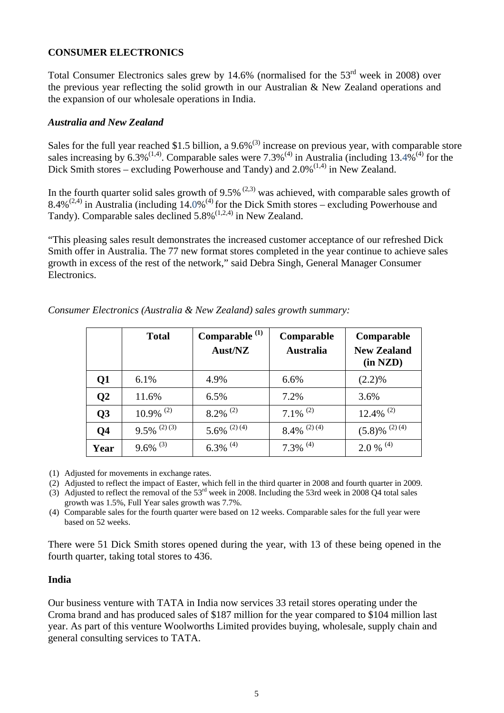#### **CONSUMER ELECTRONICS**

Total Consumer Electronics sales grew by 14.6% (normalised for the  $53<sup>rd</sup>$  week in 2008) over the previous year reflecting the solid growth in our Australian & New Zealand operations and the expansion of our wholesale operations in India.

#### *Australia and New Zealand*

Sales for the full year reached \$1.5 billion, a  $9.6\%$ <sup>(3)</sup> increase on previous year, with comparable store sales increasing by  $6.3\%^{(1,4)}$ . Comparable sales were  $7.3\%^{(4)}$  in Australia (including 13.4%<sup>(4)</sup> for the Dick Smith stores – excluding Powerhouse and Tandy) and  $2.0\%^{(1,4)}$  in New Zealand.

In the fourth quarter solid sales growth of  $9.5\%$  <sup>(2,3)</sup> was achieved, with comparable sales growth of 8.4%<sup>(2,4)</sup> in Australia (including  $14.0\%$ <sup>(4)</sup> for the Dick Smith stores – excluding Powerhouse and Tandy). Comparable sales declined  $5.8\%$ <sup>(1,2,4)</sup> in New Zealand.

"This pleasing sales result demonstrates the increased customer acceptance of our refreshed Dick Smith offer in Australia. The 77 new format stores completed in the year continue to achieve sales growth in excess of the rest of the network," said Debra Singh, General Manager Consumer Electronics.

|           | <b>Total</b>              | Comparable <sup>(1)</sup><br>Aust/NZ | Comparable<br><b>Australia</b> | Comparable<br><b>New Zealand</b><br>(in NZD) |
|-----------|---------------------------|--------------------------------------|--------------------------------|----------------------------------------------|
| Q1        | 6.1%                      | 4.9%                                 | 6.6%                           | $(2.2)\%$                                    |
| <b>O2</b> | 11.6%                     | 6.5%                                 | 7.2%                           | 3.6%                                         |
| <b>Q3</b> | $10.9\%$ <sup>(2)</sup>   | $8.2\%$ <sup>(2)</sup>               | $7.1\%$ <sup>(2)</sup>         | $12.4\%$ <sup>(2)</sup>                      |
| <b>Q4</b> | $9.5\%$ <sup>(2)(3)</sup> | 5.6% $(2)$ (4)                       | $8.4\%$ <sup>(2)(4)</sup>      | $(5.8)$ % <sup>(2) (4)</sup>                 |
| Year      | $9.6\%$ <sup>(3)</sup>    | $6.3\%$ <sup>(4)</sup>               | $7.3\%$ <sup>(4)</sup>         | $2.0\%$ <sup>(4)</sup>                       |

*Consumer Electronics (Australia & New Zealand) sales growth summary:* 

(1) Adjusted for movements in exchange rates.

(2) Adjusted to reflect the impact of Easter, which fell in the third quarter in 2008 and fourth quarter in 2009.

(3) Adjusted to reflect the removal of the  $53<sup>rd</sup>$  week in 2008. Including the 53rd week in 2008 Q4 total sales growth was 1.5%, Full Year sales growth was 7.7%.

(4) Comparable sales for the fourth quarter were based on 12 weeks. Comparable sales for the full year were based on 52 weeks.

There were 51 Dick Smith stores opened during the year, with 13 of these being opened in the fourth quarter, taking total stores to 436.

#### **India**

Our business venture with TATA in India now services 33 retail stores operating under the Croma brand and has produced sales of \$187 million for the year compared to \$104 million last year. As part of this venture Woolworths Limited provides buying, wholesale, supply chain and general consulting services to TATA.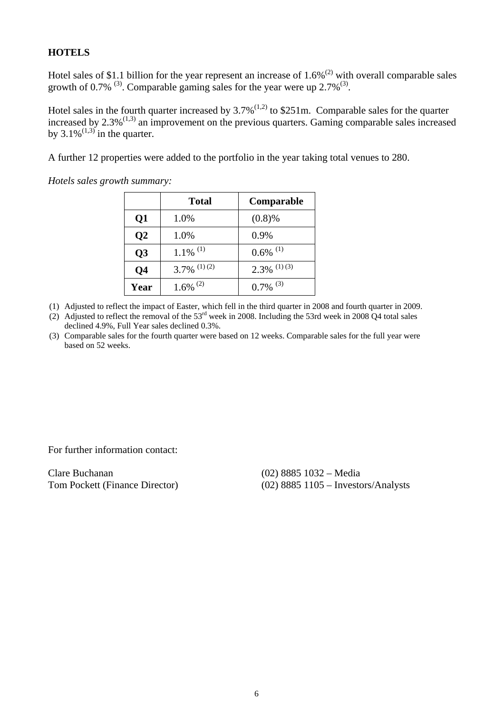#### **HOTELS**

Hotel sales of \$1.1 billion for the year represent an increase of  $1.6\%$ <sup>(2)</sup> with overall comparable sales growth of 0.7%  $^{(3)}$ . Comparable gaming sales for the year were up 2.7% $^{(3)}$ .

Hotel sales in the fourth quarter increased by  $3.7\%^{(1,2)}$  to \$251m. Comparable sales for the quarter increased by  $2.3\%^{(1,3)}$  an improvement on the previous quarters. Gaming comparable sales increased by  $3.1\%^{(1,3)}$  in the quarter.

A further 12 properties were added to the portfolio in the year taking total venues to 280.

*Hotels sales growth summary:*

|                 | <b>Total</b>              | Comparable                |
|-----------------|---------------------------|---------------------------|
| $\overline{Q1}$ | 1.0%                      | (0.8)%                    |
| $\overline{Q2}$ | 1.0%                      | 0.9%                      |
| Q <sub>3</sub>  | $1.1\%$ <sup>(1)</sup>    | $0.6\%$ <sup>(1)</sup>    |
| Q <sub>4</sub>  | $3.7\%$ <sup>(1)(2)</sup> | $2.3\%$ <sup>(1)(3)</sup> |
| Year            | $1.6\%$ <sup>(2)</sup>    | $0.7\%$ <sup>(3)</sup>    |

- (1) Adjusted to reflect the impact of Easter, which fell in the third quarter in 2008 and fourth quarter in 2009.
- (2) Adjusted to reflect the removal of the  $53<sup>rd</sup>$  week in 2008. Including the 53rd week in 2008 Q4 total sales declined 4.9%, Full Year sales declined 0.3%.
- (3) Comparable sales for the fourth quarter were based on 12 weeks. Comparable sales for the full year were based on 52 weeks.

For further information contact:

Clare Buchanan (02) 8885 1032 – Media

Tom Pockett (Finance Director) (02) 8885 1105 – Investors/Analysts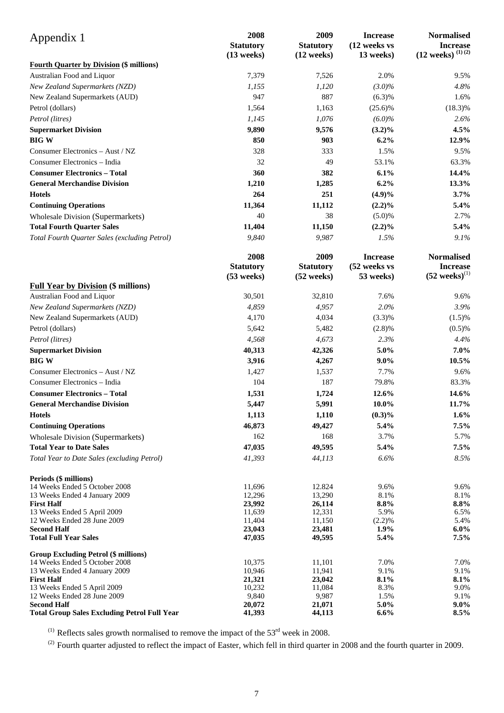| Appendix 1                                                                  | 2008<br><b>Statutory</b><br>$(13$ weeks) | 2009<br><b>Statutory</b><br>(12 weeks) | <b>Increase</b><br>(12 weeks vs<br>13 weeks) | <b>Normalised</b><br><b>Increase</b><br>$(12$ weeks) $^{(1)(2)}$ |
|-----------------------------------------------------------------------------|------------------------------------------|----------------------------------------|----------------------------------------------|------------------------------------------------------------------|
| <b>Fourth Quarter by Division (\$ millions)</b>                             |                                          |                                        |                                              |                                                                  |
| Australian Food and Liquor                                                  | 7,379                                    | 7,526                                  | 2.0%                                         | 9.5%                                                             |
| New Zealand Supermarkets (NZD)                                              | 1,155                                    | 1,120                                  | $(3.0)\%$                                    | 4.8%                                                             |
| New Zealand Supermarkets (AUD)                                              | 947                                      | 887                                    | (6.3)%                                       | 1.6%                                                             |
| Petrol (dollars)                                                            | 1,564                                    | 1,163                                  | $(25.6)\%$                                   | $(18.3)\%$                                                       |
| Petrol (litres)                                                             | 1,145                                    | 1,076                                  | $(6.0)\%$                                    | 2.6%                                                             |
| <b>Supermarket Division</b>                                                 | 9,890                                    | 9,576                                  | $(3.2)\%$                                    | 4.5%                                                             |
| <b>BIGW</b>                                                                 | 850                                      | 903                                    | 6.2%                                         | 12.9%                                                            |
| Consumer Electronics - Aust / NZ                                            | 328                                      | 333                                    | 1.5%                                         | 9.5%                                                             |
| Consumer Electronics - India                                                | 32                                       | 49                                     | 53.1%                                        | 63.3%                                                            |
| <b>Consumer Electronics - Total</b>                                         | 360                                      | 382                                    | 6.1%                                         | 14.4%                                                            |
| <b>General Merchandise Division</b>                                         | 1,210                                    | 1,285                                  | 6.2%                                         | 13.3%                                                            |
| <b>Hotels</b>                                                               | 264                                      | 251                                    | $(4.9)\%$                                    | 3.7%                                                             |
| <b>Continuing Operations</b>                                                | 11,364                                   | 11,112                                 | $(2.2)\%$                                    | 5.4%                                                             |
| <b>Wholesale Division (Supermarkets)</b>                                    | 40                                       | 38                                     | (5.0)%                                       | 2.7%                                                             |
| <b>Total Fourth Quarter Sales</b>                                           | 11,404                                   | 11,150                                 | $(2.2)\%$                                    | 5.4%                                                             |
| Total Fourth Quarter Sales (excluding Petrol)                               | 9,840                                    | 9,987                                  | 1.5%                                         | 9.1%                                                             |
|                                                                             |                                          |                                        |                                              |                                                                  |
|                                                                             | 2008                                     | 2009                                   | <b>Increase</b>                              | <b>Normalised</b>                                                |
|                                                                             | <b>Statutory</b><br>$(53$ weeks)         | <b>Statutory</b><br>$(52$ weeks)       | (52 weeks vs<br>53 weeks)                    | <b>Increase</b><br>$(52 \text{ weeks})^{(1)}$                    |
| <b>Full Year by Division (\$ millions)</b>                                  |                                          |                                        |                                              |                                                                  |
| Australian Food and Liquor                                                  | 30,501                                   | 32,810                                 | 7.6%                                         | 9.6%                                                             |
| New Zealand Supermarkets (NZD)                                              | 4,859                                    | 4,957                                  | 2.0%                                         | 3.9%                                                             |
| New Zealand Supermarkets (AUD)                                              | 4,170                                    | 4,034                                  | (3.3)%                                       | (1.5)%                                                           |
| Petrol (dollars)                                                            | 5,642                                    | 5,482                                  | (2.8)%                                       | (0.5)%                                                           |
| Petrol (litres)                                                             | 4,568                                    | 4,673                                  | 2.3%                                         | 4.4%                                                             |
| <b>Supermarket Division</b>                                                 | 40,313                                   | 42,326                                 | 5.0%                                         | 7.0%                                                             |
| <b>BIG W</b>                                                                | 3,916                                    | 4,267                                  | $9.0\%$                                      | 10.5%                                                            |
| Consumer Electronics - Aust / NZ                                            | 1,427                                    | 1,537                                  | 7.7%                                         | 9.6%                                                             |
| Consumer Electronics - India                                                | 104                                      | 187                                    | 79.8%                                        | 83.3%                                                            |
| <b>Consumer Electronics - Total</b>                                         | 1,531                                    | 1,724                                  | 12.6%                                        | 14.6%                                                            |
| <b>General Merchandise Division</b>                                         | 5,447                                    | 5,991                                  | $10.0\%$                                     | 11.7%                                                            |
| <b>Hotels</b>                                                               | 1,113                                    | 1,110                                  | $(0.3)\%$                                    | $1.6\%$                                                          |
| <b>Continuing Operations</b>                                                | 46,873                                   | 49,427                                 | 5.4%                                         | 7.5%                                                             |
|                                                                             | 162                                      | 168                                    | 3.7%                                         | 5.7%                                                             |
| <b>Wholesale Division (Supermarkets)</b><br><b>Total Year to Date Sales</b> | 47,035                                   | 49,595                                 | 5.4%                                         | 7.5%                                                             |
| Total Year to Date Sales (excluding Petrol)                                 | 41,393                                   | 44,113                                 | 6.6%                                         | 8.5%                                                             |
|                                                                             |                                          |                                        |                                              |                                                                  |
| Periods (\$ millions)                                                       |                                          |                                        |                                              |                                                                  |
| 14 Weeks Ended 5 October 2008                                               | 11,696                                   | 12.824                                 | 9.6%                                         | 9.6%                                                             |
| 13 Weeks Ended 4 January 2009<br><b>First Half</b>                          | 12,296<br>23,992                         | 13,290<br>26,114                       | 8.1%<br>8.8%                                 | 8.1%<br>8.8%                                                     |
| 13 Weeks Ended 5 April 2009                                                 | 11,639                                   | 12,331                                 | 5.9%                                         | 6.5%                                                             |
| 12 Weeks Ended 28 June 2009                                                 | 11,404                                   | 11,150                                 | (2.2)%                                       | 5.4%                                                             |
| <b>Second Half</b>                                                          | 23,043                                   | 23,481                                 | 1.9%                                         | $6.0\%$                                                          |
| <b>Total Full Year Sales</b>                                                | 47,035                                   | 49,595                                 | 5.4%                                         | 7.5%                                                             |
| <b>Group Excluding Petrol (\$ millions)</b>                                 |                                          |                                        |                                              |                                                                  |
| 14 Weeks Ended 5 October 2008                                               | 10,375                                   | 11,101                                 | 7.0%                                         | 7.0%                                                             |
| 13 Weeks Ended 4 January 2009<br><b>First Half</b>                          | 10,946<br>21,321                         | 11,941<br>23,042                       | 9.1%<br>8.1%                                 | 9.1%<br>8.1%                                                     |
| 13 Weeks Ended 5 April 2009                                                 | 10,232                                   | 11,084                                 | 8.3%                                         | 9.0%                                                             |
| 12 Weeks Ended 28 June 2009                                                 | 9,840                                    | 9,987                                  | 1.5%                                         | 9.1%                                                             |
| <b>Second Half</b>                                                          | 20,072                                   | 21,071                                 | 5.0%                                         | $9.0\%$                                                          |
| <b>Total Group Sales Excluding Petrol Full Year</b>                         | 41,393                                   | 44,113                                 | 6.6%                                         | 8.5%                                                             |

<sup>(1)</sup> Reflects sales growth normalised to remove the impact of the  $53<sup>rd</sup>$  week in 2008.

 $^{(2)}$  Fourth quarter adjusted to reflect the impact of Easter, which fell in third quarter in 2008 and the fourth quarter in 2009.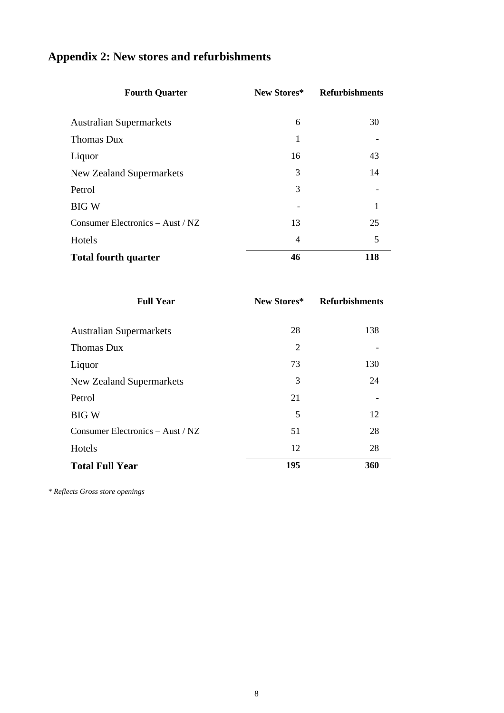| <b>Appendix 2: New stores and refurbishments</b> |  |
|--------------------------------------------------|--|
|--------------------------------------------------|--|

| <b>Fourth Quarter</b>            | New Stores*    | <b>Refurbishments</b> |
|----------------------------------|----------------|-----------------------|
| <b>Australian Supermarkets</b>   | 6              | 30                    |
| Thomas Dux                       | 1              |                       |
| Liquor                           | 16             | 43                    |
| New Zealand Supermarkets         | 3              | 14                    |
| Petrol                           | 3              |                       |
| <b>BIG W</b>                     |                | 1                     |
| Consumer Electronics - Aust / NZ | 13             | 25                    |
| Hotels                           | $\overline{4}$ | 5                     |
| <b>Total fourth quarter</b>      | 46             | 118                   |

| <b>Full Year</b>                 | New Stores*    | <b>Refurbishments</b> |
|----------------------------------|----------------|-----------------------|
| <b>Australian Supermarkets</b>   | 28             | 138                   |
| <b>Thomas Dux</b>                | $\overline{2}$ |                       |
| Liquor                           | 73             | 130                   |
| <b>New Zealand Supermarkets</b>  | 3              | 24                    |
| Petrol                           | 21             |                       |
| <b>BIG W</b>                     | 5              | 12                    |
| Consumer Electronics - Aust / NZ | 51             | 28                    |
| Hotels                           | 12             | 28                    |
| <b>Total Full Year</b>           | 195            | 360                   |

*\* Reflects Gross store openings*